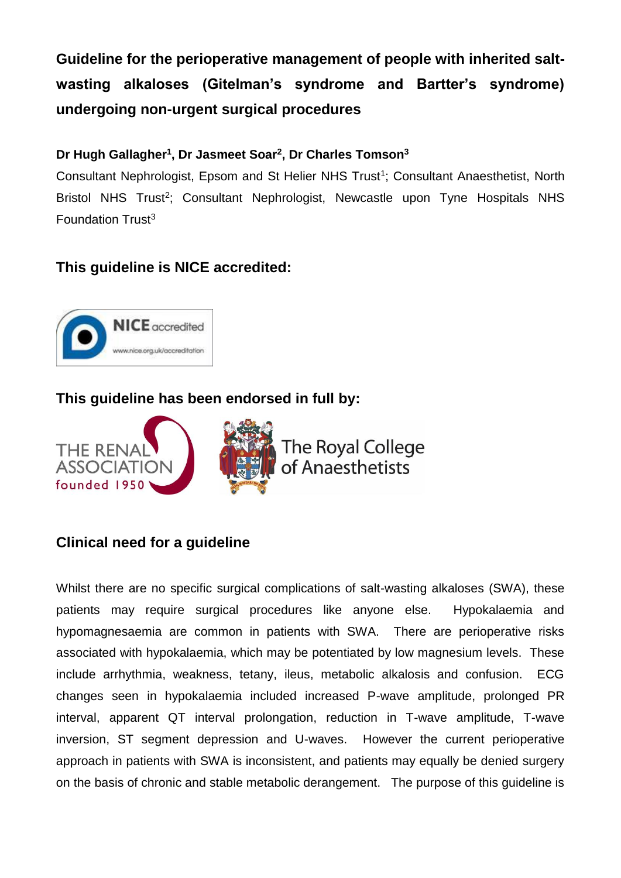**Guideline for the perioperative management of people with inherited saltwasting alkaloses (Gitelman's syndrome and Bartter's syndrome) undergoing non-urgent surgical procedures**

## **Dr Hugh Gallagher<sup>1</sup> , Dr Jasmeet Soar<sup>2</sup> , Dr Charles Tomson<sup>3</sup>**

Consultant Nephrologist, Epsom and St Helier NHS Trust<sup>1</sup>; Consultant Anaesthetist, North Bristol NHS Trust<sup>2</sup>; Consultant Nephrologist, Newcastle upon Tyne Hospitals NHS Foundation Trust<sup>3</sup>

# **This guideline is NICE accredited:**



# **This guideline has been endorsed in full by:**



# **Clinical need for a guideline**

Whilst there are no specific surgical complications of salt-wasting alkaloses (SWA), these patients may require surgical procedures like anyone else. Hypokalaemia and hypomagnesaemia are common in patients with SWA. There are perioperative risks associated with hypokalaemia, which may be potentiated by low magnesium levels. These include arrhythmia, weakness, tetany, ileus, metabolic alkalosis and confusion. ECG changes seen in hypokalaemia included increased P-wave amplitude, prolonged PR interval, apparent QT interval prolongation, reduction in T-wave amplitude, T-wave inversion, ST segment depression and U-waves. However the current perioperative approach in patients with SWA is inconsistent, and patients may equally be denied surgery on the basis of chronic and stable metabolic derangement. The purpose of this guideline is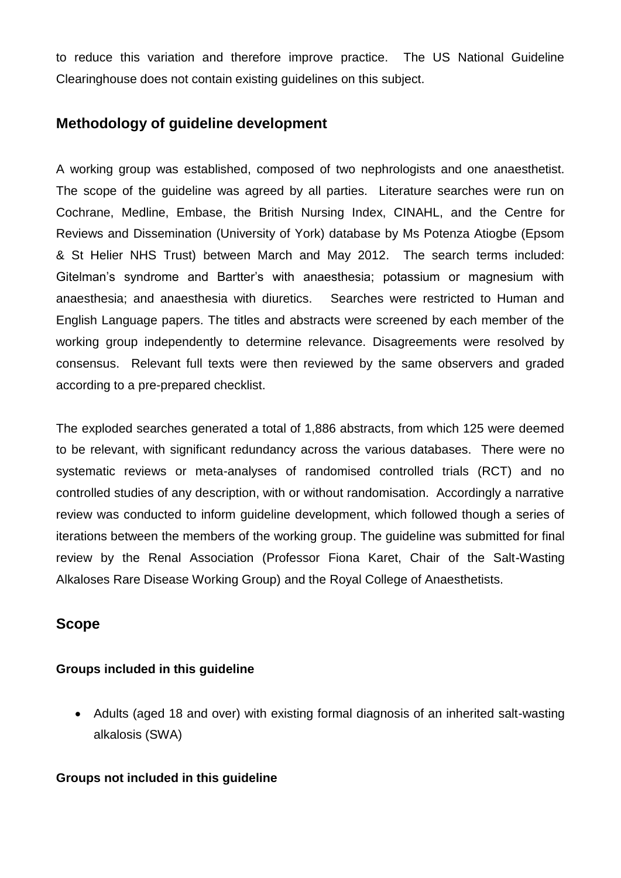to reduce this variation and therefore improve practice. The US National Guideline Clearinghouse does not contain existing guidelines on this subject.

## **Methodology of guideline development**

A working group was established, composed of two nephrologists and one anaesthetist. The scope of the guideline was agreed by all parties. Literature searches were run on Cochrane, Medline, Embase, the British Nursing Index, CINAHL, and the Centre for Reviews and Dissemination (University of York) database by Ms Potenza Atiogbe (Epsom & St Helier NHS Trust) between March and May 2012. The search terms included: Gitelman's syndrome and Bartter's with anaesthesia; potassium or magnesium with anaesthesia; and anaesthesia with diuretics. Searches were restricted to Human and English Language papers. The titles and abstracts were screened by each member of the working group independently to determine relevance. Disagreements were resolved by consensus. Relevant full texts were then reviewed by the same observers and graded according to a pre-prepared checklist.

The exploded searches generated a total of 1,886 abstracts, from which 125 were deemed to be relevant, with significant redundancy across the various databases. There were no systematic reviews or meta-analyses of randomised controlled trials (RCT) and no controlled studies of any description, with or without randomisation. Accordingly a narrative review was conducted to inform guideline development, which followed though a series of iterations between the members of the working group. The guideline was submitted for final review by the Renal Association (Professor Fiona Karet, Chair of the Salt-Wasting Alkaloses Rare Disease Working Group) and the Royal College of Anaesthetists.

### **Scope**

#### **Groups included in this guideline**

 Adults (aged 18 and over) with existing formal diagnosis of an inherited salt-wasting alkalosis (SWA)

#### **Groups not included in this guideline**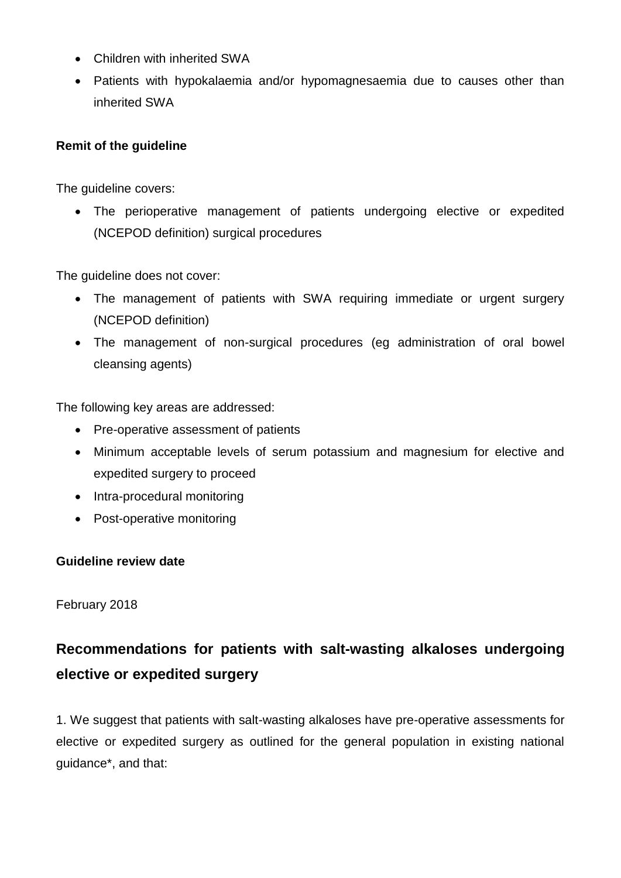- Children with inherited SWA
- Patients with hypokalaemia and/or hypomagnesaemia due to causes other than inherited SWA

#### **Remit of the guideline**

The guideline covers:

 The perioperative management of patients undergoing elective or expedited (NCEPOD definition) surgical procedures

The guideline does not cover:

- The management of patients with SWA requiring immediate or urgent surgery (NCEPOD definition)
- The management of non-surgical procedures (eg administration of oral bowel cleansing agents)

The following key areas are addressed:

- Pre-operative assessment of patients
- Minimum acceptable levels of serum potassium and magnesium for elective and expedited surgery to proceed
- Intra-procedural monitoring
- Post-operative monitoring

#### **Guideline review date**

February 2018

# **Recommendations for patients with salt-wasting alkaloses undergoing elective or expedited surgery**

1. We suggest that patients with salt-wasting alkaloses have pre-operative assessments for elective or expedited surgery as outlined for the general population in existing national guidance\*, and that: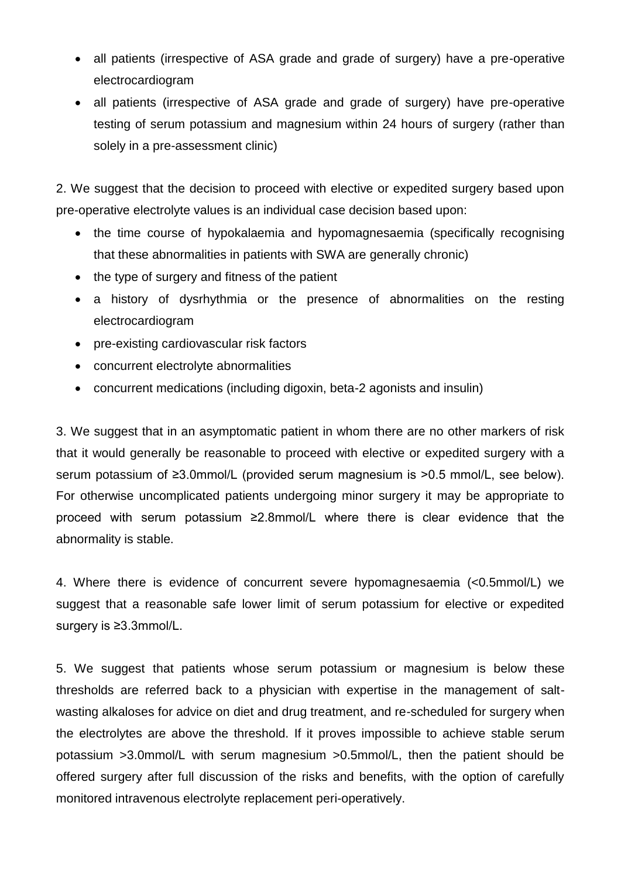- all patients (irrespective of ASA grade and grade of surgery) have a pre-operative electrocardiogram
- all patients (irrespective of ASA grade and grade of surgery) have pre-operative testing of serum potassium and magnesium within 24 hours of surgery (rather than solely in a pre-assessment clinic)

2. We suggest that the decision to proceed with elective or expedited surgery based upon pre-operative electrolyte values is an individual case decision based upon:

- the time course of hypokalaemia and hypomagnesaemia (specifically recognising that these abnormalities in patients with SWA are generally chronic)
- the type of surgery and fitness of the patient
- a history of dysrhythmia or the presence of abnormalities on the resting electrocardiogram
- pre-existing cardiovascular risk factors
- concurrent electrolyte abnormalities
- concurrent medications (including digoxin, beta-2 agonists and insulin)

3. We suggest that in an asymptomatic patient in whom there are no other markers of risk that it would generally be reasonable to proceed with elective or expedited surgery with a serum potassium of ≥3.0mmol/L (provided serum magnesium is >0.5 mmol/L, see below). For otherwise uncomplicated patients undergoing minor surgery it may be appropriate to proceed with serum potassium ≥2.8mmol/L where there is clear evidence that the abnormality is stable.

4. Where there is evidence of concurrent severe hypomagnesaemia (<0.5mmol/L) we suggest that a reasonable safe lower limit of serum potassium for elective or expedited surgery is ≥3.3mmol/L.

5. We suggest that patients whose serum potassium or magnesium is below these thresholds are referred back to a physician with expertise in the management of saltwasting alkaloses for advice on diet and drug treatment, and re-scheduled for surgery when the electrolytes are above the threshold. If it proves impossible to achieve stable serum potassium >3.0mmol/L with serum magnesium >0.5mmol/L, then the patient should be offered surgery after full discussion of the risks and benefits, with the option of carefully monitored intravenous electrolyte replacement peri-operatively.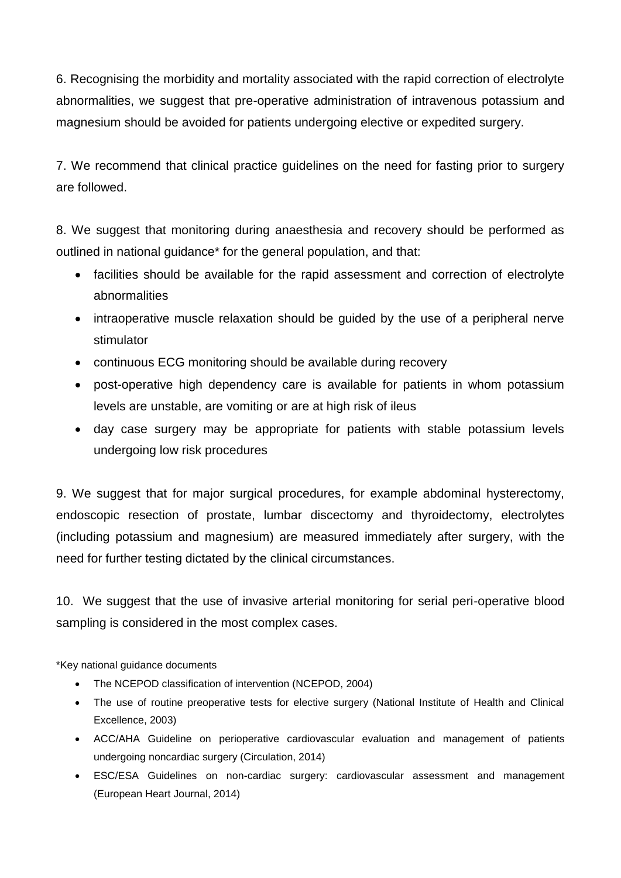6. Recognising the morbidity and mortality associated with the rapid correction of electrolyte abnormalities, we suggest that pre-operative administration of intravenous potassium and magnesium should be avoided for patients undergoing elective or expedited surgery.

7. We recommend that clinical practice guidelines on the need for fasting prior to surgery are followed.

8. We suggest that monitoring during anaesthesia and recovery should be performed as outlined in national guidance\* for the general population, and that:

- facilities should be available for the rapid assessment and correction of electrolyte abnormalities
- intraoperative muscle relaxation should be guided by the use of a peripheral nerve stimulator
- continuous ECG monitoring should be available during recovery
- post-operative high dependency care is available for patients in whom potassium levels are unstable, are vomiting or are at high risk of ileus
- day case surgery may be appropriate for patients with stable potassium levels undergoing low risk procedures

9. We suggest that for major surgical procedures, for example abdominal hysterectomy, endoscopic resection of prostate, lumbar discectomy and thyroidectomy, electrolytes (including potassium and magnesium) are measured immediately after surgery, with the need for further testing dictated by the clinical circumstances.

10. We suggest that the use of invasive arterial monitoring for serial peri-operative blood sampling is considered in the most complex cases.

\*Key national guidance documents

- The NCEPOD classification of intervention (NCEPOD, 2004)
- The use of routine preoperative tests for elective surgery (National Institute of Health and Clinical Excellence, 2003)
- ACC/AHA Guideline on perioperative cardiovascular evaluation and management of patients undergoing noncardiac surgery (Circulation, 2014)
- ESC/ESA Guidelines on non-cardiac surgery: cardiovascular assessment and management (European Heart Journal, 2014)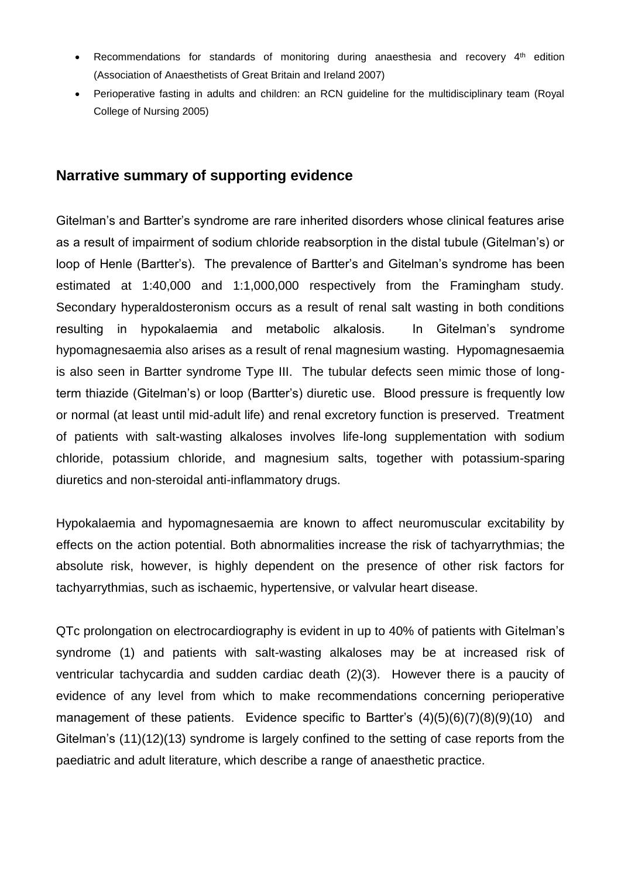- Recommendations for standards of monitoring during anaesthesia and recovery  $4<sup>th</sup>$  edition (Association of Anaesthetists of Great Britain and Ireland 2007)
- Perioperative fasting in adults and children: an RCN guideline for the multidisciplinary team (Royal College of Nursing 2005)

#### **Narrative summary of supporting evidence**

Gitelman's and Bartter's syndrome are rare inherited disorders whose clinical features arise as a result of impairment of sodium chloride reabsorption in the distal tubule (Gitelman's) or loop of Henle (Bartter's). The prevalence of Bartter's and Gitelman's syndrome has been estimated at 1:40,000 and 1:1,000,000 respectively from the Framingham study. Secondary hyperaldosteronism occurs as a result of renal salt wasting in both conditions resulting in hypokalaemia and metabolic alkalosis. In Gitelman's syndrome hypomagnesaemia also arises as a result of renal magnesium wasting. Hypomagnesaemia is also seen in Bartter syndrome Type III. The tubular defects seen mimic those of longterm thiazide (Gitelman's) or loop (Bartter's) diuretic use. Blood pressure is frequently low or normal (at least until mid-adult life) and renal excretory function is preserved. Treatment of patients with salt-wasting alkaloses involves life-long supplementation with sodium chloride, potassium chloride, and magnesium salts, together with potassium-sparing diuretics and non-steroidal anti-inflammatory drugs.

Hypokalaemia and hypomagnesaemia are known to affect neuromuscular excitability by effects on the action potential. Both abnormalities increase the risk of tachyarrythmias; the absolute risk, however, is highly dependent on the presence of other risk factors for tachyarrythmias, such as ischaemic, hypertensive, or valvular heart disease.

QTc prolongation on electrocardiography is evident in up to 40% of patients with Gitelman's syndrome (1) and patients with salt-wasting alkaloses may be at increased risk of ventricular tachycardia and sudden cardiac death (2)(3). However there is a paucity of evidence of any level from which to make recommendations concerning perioperative management of these patients. Evidence specific to Bartter's  $(4)(5)(6)(7)(8)(9)(10)$  and Gitelman's (11)(12)(13) syndrome is largely confined to the setting of case reports from the paediatric and adult literature, which describe a range of anaesthetic practice.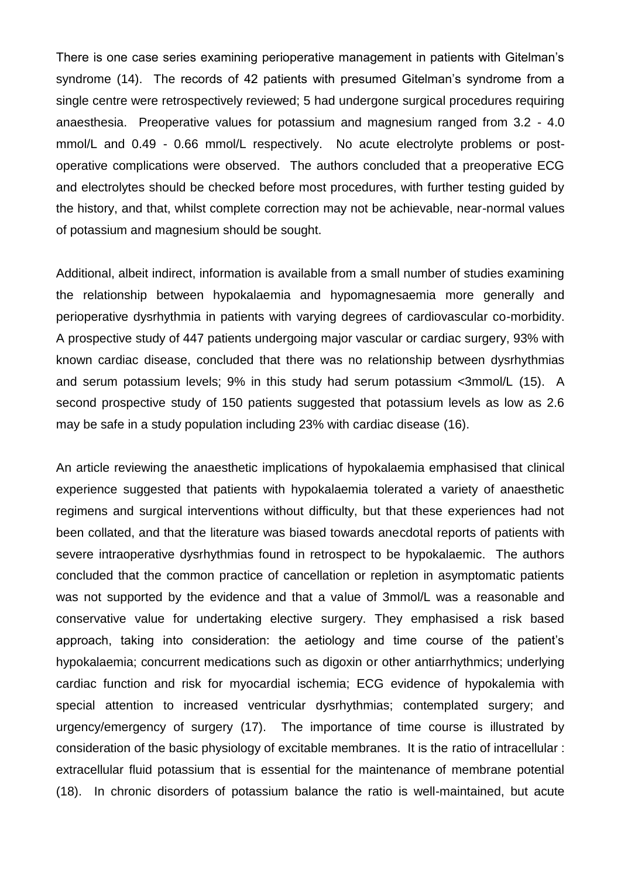There is one case series examining perioperative management in patients with Gitelman's syndrome (14). The records of 42 patients with presumed Gitelman's syndrome from a single centre were retrospectively reviewed; 5 had undergone surgical procedures requiring anaesthesia. Preoperative values for potassium and magnesium ranged from 3.2 - 4.0 mmol/L and 0.49 - 0.66 mmol/L respectively. No acute electrolyte problems or postoperative complications were observed. The authors concluded that a preoperative ECG and electrolytes should be checked before most procedures, with further testing guided by the history, and that, whilst complete correction may not be achievable, near-normal values of potassium and magnesium should be sought.

Additional, albeit indirect, information is available from a small number of studies examining the relationship between hypokalaemia and hypomagnesaemia more generally and perioperative dysrhythmia in patients with varying degrees of cardiovascular co-morbidity. A prospective study of 447 patients undergoing major vascular or cardiac surgery, 93% with known cardiac disease, concluded that there was no relationship between dysrhythmias and serum potassium levels; 9% in this study had serum potassium <3mmol/L (15). A second prospective study of 150 patients suggested that potassium levels as low as 2.6 may be safe in a study population including 23% with cardiac disease (16).

An article reviewing the anaesthetic implications of hypokalaemia emphasised that clinical experience suggested that patients with hypokalaemia tolerated a variety of anaesthetic regimens and surgical interventions without difficulty, but that these experiences had not been collated, and that the literature was biased towards anecdotal reports of patients with severe intraoperative dysrhythmias found in retrospect to be hypokalaemic. The authors concluded that the common practice of cancellation or repletion in asymptomatic patients was not supported by the evidence and that a value of 3mmol/L was a reasonable and conservative value for undertaking elective surgery. They emphasised a risk based approach, taking into consideration: the aetiology and time course of the patient's hypokalaemia; concurrent medications such as digoxin or other antiarrhythmics; underlying cardiac function and risk for myocardial ischemia; ECG evidence of hypokalemia with special attention to increased ventricular dysrhythmias; contemplated surgery; and urgency/emergency of surgery (17). The importance of time course is illustrated by consideration of the basic physiology of excitable membranes. It is the ratio of intracellular : extracellular fluid potassium that is essential for the maintenance of membrane potential (18). In chronic disorders of potassium balance the ratio is well-maintained, but acute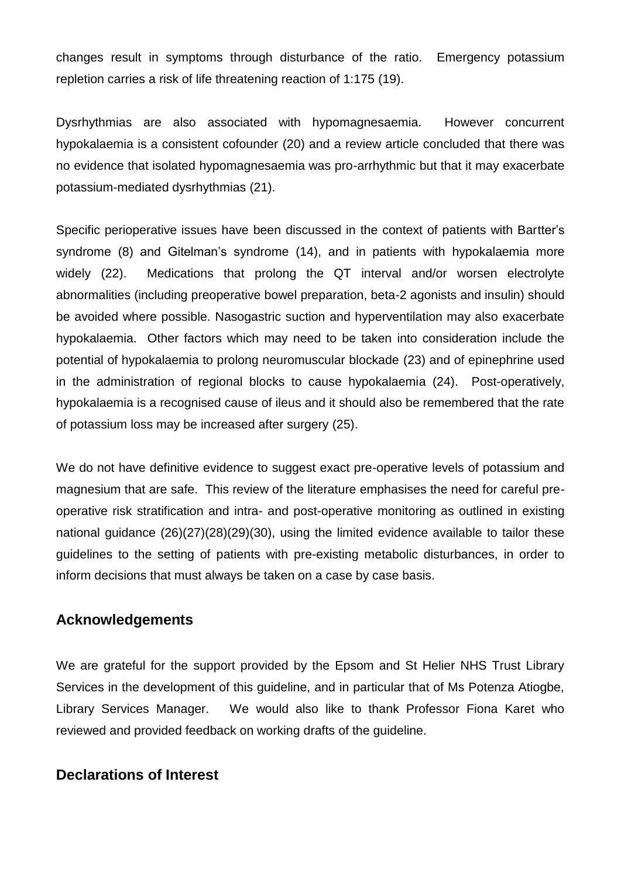changes result in symptoms through disturbance of the ratio. Emergency potassium repletion carries a risk of life threatening reaction of 1:175 (19).

Dysrhythmias are also associated with hypomagnesaemia. However concurrent hypokalaemia is a consistent cofounder (20) and a review article concluded that there was no evidence that isolated hypomagnesaemia was pro-arrhythmic but that it may exacerbate potassium-mediated dysrhythmias (21).

Specific perioperative issues have been discussed in the context of patients with Bartter's syndrome (8) and Gitelman's syndrome (14), and in patients with hypokalaemia more widely (22). Medications that prolong the QT interval and/or worsen electrolyte abnormalities (including preoperative bowel preparation, beta-2 agonists and insulin) should be avoided where possible. Nasogastric suction and hyperventilation may also exacerbate hypokalaemia. Other factors which may need to be taken into consideration include the potential of hypokalaemia to prolong neuromuscular blockade (23) and of epinephrine used in the administration of regional blocks to cause hypokalaemia (24). Post-operatively, hypokalaemia is a recognised cause of ileus and it should also be remembered that the rate of potassium loss may be increased after surgery (25).

We do not have definitive evidence to suggest exact pre-operative levels of potassium and magnesium that are safe. This review of the literature emphasises the need for careful preoperative risk stratification and intra- and post-operative monitoring as outlined in existing national guidance (26)(27)(28)(29)(30), using the limited evidence available to tailor these guidelines to the setting of patients with pre-existing metabolic disturbances, in order to inform decisions that must always be taken on a case by case basis.

# **Acknowledgements**

We are grateful for the support provided by the Epsom and St Helier NHS Trust Library Services in the development of this guideline, and in particular that of Ms Potenza Atiogbe, Library Services Manager. We would also like to thank Professor Fiona Karet who reviewed and provided feedback on working drafts of the guideline.

#### **Declarations of Interest**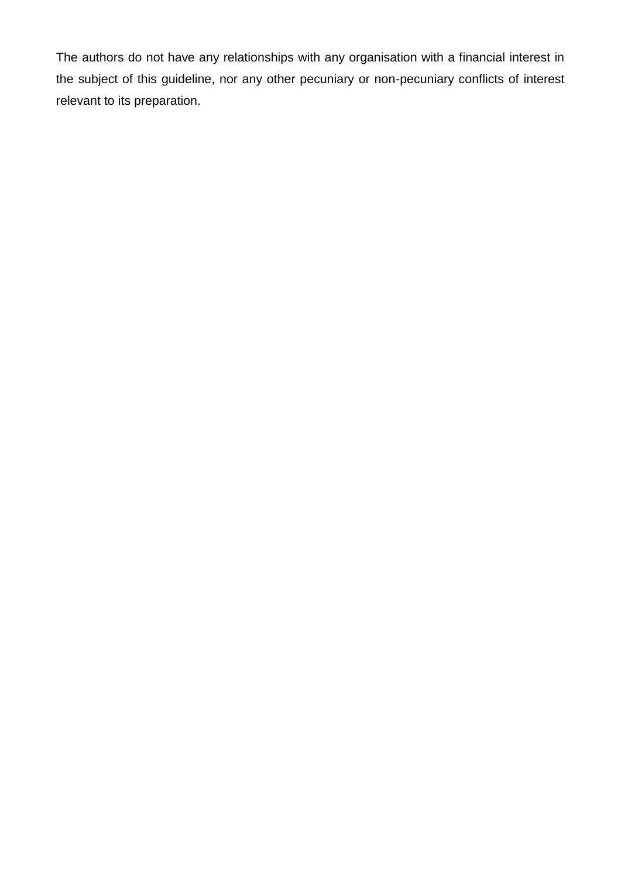The authors do not have any relationships with any organisation with a financial interest in the subject of this guideline, nor any other pecuniary or non-pecuniary conflicts of interest relevant to its preparation.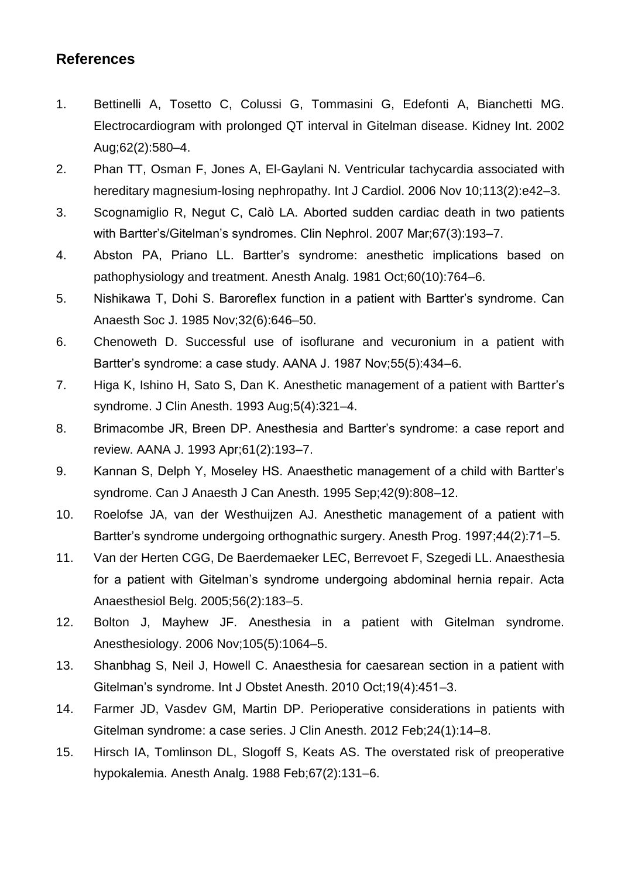# **References**

- 1. Bettinelli A, Tosetto C, Colussi G, Tommasini G, Edefonti A, Bianchetti MG. Electrocardiogram with prolonged QT interval in Gitelman disease. Kidney Int. 2002 Aug;62(2):580–4.
- 2. Phan TT, Osman F, Jones A, El-Gaylani N. Ventricular tachycardia associated with hereditary magnesium-losing nephropathy. Int J Cardiol. 2006 Nov 10;113(2):e42-3.
- 3. Scognamiglio R, Negut C, Calò LA. Aborted sudden cardiac death in two patients with Bartter's/Gitelman's syndromes. Clin Nephrol. 2007 Mar;67(3):193–7.
- 4. Abston PA, Priano LL. Bartter's syndrome: anesthetic implications based on pathophysiology and treatment. Anesth Analg. 1981 Oct;60(10):764–6.
- 5. Nishikawa T, Dohi S. Baroreflex function in a patient with Bartter's syndrome. Can Anaesth Soc J. 1985 Nov;32(6):646–50.
- 6. Chenoweth D. Successful use of isoflurane and vecuronium in a patient with Bartter's syndrome: a case study. AANA J. 1987 Nov;55(5):434–6.
- 7. Higa K, Ishino H, Sato S, Dan K. Anesthetic management of a patient with Bartter's syndrome. J Clin Anesth. 1993 Aug;5(4):321–4.
- 8. Brimacombe JR, Breen DP. Anesthesia and Bartter's syndrome: a case report and review. AANA J. 1993 Apr;61(2):193–7.
- 9. Kannan S, Delph Y, Moseley HS. Anaesthetic management of a child with Bartter's syndrome. Can J Anaesth J Can Anesth. 1995 Sep;42(9):808–12.
- 10. Roelofse JA, van der Westhuijzen AJ. Anesthetic management of a patient with Bartter's syndrome undergoing orthognathic surgery. Anesth Prog. 1997;44(2):71–5.
- 11. Van der Herten CGG, De Baerdemaeker LEC, Berrevoet F, Szegedi LL. Anaesthesia for a patient with Gitelman's syndrome undergoing abdominal hernia repair. Acta Anaesthesiol Belg. 2005;56(2):183–5.
- 12. Bolton J, Mayhew JF. Anesthesia in a patient with Gitelman syndrome. Anesthesiology. 2006 Nov;105(5):1064–5.
- 13. Shanbhag S, Neil J, Howell C. Anaesthesia for caesarean section in a patient with Gitelman's syndrome. Int J Obstet Anesth. 2010 Oct;19(4):451–3.
- 14. Farmer JD, Vasdev GM, Martin DP. Perioperative considerations in patients with Gitelman syndrome: a case series. J Clin Anesth. 2012 Feb;24(1):14–8.
- 15. Hirsch IA, Tomlinson DL, Slogoff S, Keats AS. The overstated risk of preoperative hypokalemia. Anesth Analg. 1988 Feb;67(2):131–6.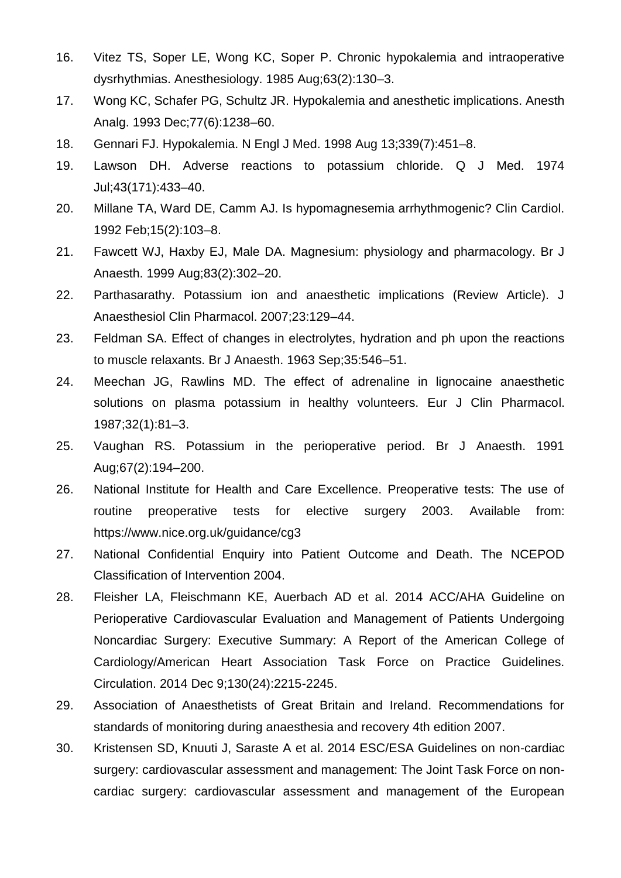- 16. Vitez TS, Soper LE, Wong KC, Soper P. Chronic hypokalemia and intraoperative dysrhythmias. Anesthesiology. 1985 Aug;63(2):130–3.
- 17. Wong KC, Schafer PG, Schultz JR. Hypokalemia and anesthetic implications. Anesth Analg. 1993 Dec;77(6):1238–60.
- 18. Gennari FJ. Hypokalemia. N Engl J Med. 1998 Aug 13;339(7):451–8.
- 19. Lawson DH. Adverse reactions to potassium chloride. Q J Med. 1974 Jul;43(171):433–40.
- 20. Millane TA, Ward DE, Camm AJ. Is hypomagnesemia arrhythmogenic? Clin Cardiol. 1992 Feb;15(2):103–8.
- 21. Fawcett WJ, Haxby EJ, Male DA. Magnesium: physiology and pharmacology. Br J Anaesth. 1999 Aug;83(2):302–20.
- 22. Parthasarathy. Potassium ion and anaesthetic implications (Review Article). J Anaesthesiol Clin Pharmacol. 2007;23:129–44.
- 23. Feldman SA. Effect of changes in electrolytes, hydration and ph upon the reactions to muscle relaxants. Br J Anaesth. 1963 Sep;35:546–51.
- 24. Meechan JG, Rawlins MD. The effect of adrenaline in lignocaine anaesthetic solutions on plasma potassium in healthy volunteers. Eur J Clin Pharmacol. 1987;32(1):81–3.
- 25. Vaughan RS. Potassium in the perioperative period. Br J Anaesth. 1991 Aug;67(2):194–200.
- 26. National Institute for Health and Care Excellence. Preoperative tests: The use of routine preoperative tests for elective surgery 2003. Available from: https://www.nice.org.uk/guidance/cg3
- 27. National Confidential Enquiry into Patient Outcome and Death. The NCEPOD Classification of Intervention 2004.
- 28. Fleisher LA, Fleischmann KE, Auerbach AD et al. 2014 ACC/AHA Guideline on Perioperative Cardiovascular Evaluation and Management of Patients Undergoing Noncardiac Surgery: Executive Summary: A Report of the American College of Cardiology/American Heart Association Task Force on Practice Guidelines. Circulation. 2014 Dec 9;130(24):2215-2245.
- 29. Association of Anaesthetists of Great Britain and Ireland. Recommendations for standards of monitoring during anaesthesia and recovery 4th edition 2007.
- 30. Kristensen SD, Knuuti J, Saraste A et al. 2014 ESC/ESA Guidelines on non-cardiac surgery: cardiovascular assessment and management: The Joint Task Force on noncardiac surgery: cardiovascular assessment and management of the European